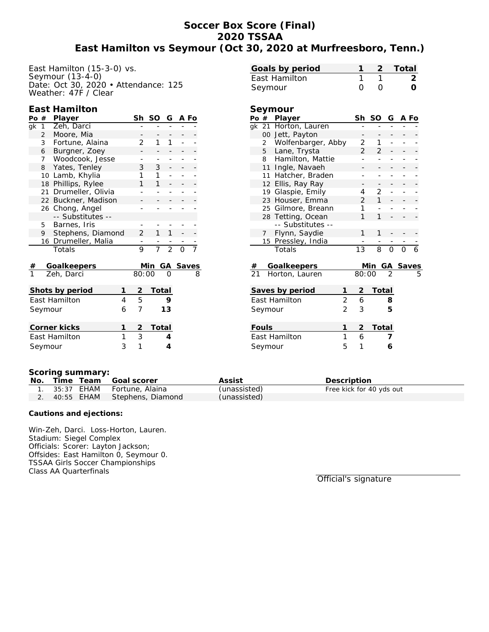# **Soccer Box Score (Final) 2020 TSSAA East Hamilton vs Seymour (Oct 30, 2020 at Murfreesboro, Tenn.)**

East Hamilton (15-3-0) vs. Seymour (13-4-0) Date: Oct 30, 2020 • Attendance: 125 Weather: 47F / Clear

#### **East Hamilton**

|                      | Po#                                        | Player                    |  | Sh             | SO           | G                             | A Fo |                              |
|----------------------|--------------------------------------------|---------------------------|--|----------------|--------------|-------------------------------|------|------------------------------|
| gk                   |                                            | 1 Zeh, Darci              |  |                |              |                               |      |                              |
|                      | $\overline{2}$                             | Moore, Mia                |  |                |              |                               |      |                              |
|                      | 3                                          | Fortune, Alaina           |  | 2              | 1            | 1                             |      |                              |
|                      | Burgner, Zoey<br>6<br>Woodcook, Jesse<br>7 |                           |  |                |              |                               |      |                              |
|                      |                                            |                           |  |                |              |                               |      |                              |
|                      | 8                                          | Yates, Tenley             |  | 3              | 3            |                               |      |                              |
|                      | 10 Lamb, Khylia                            |                           |  |                | 1            |                               |      |                              |
|                      | 18 Phillips, Rylee                         |                           |  |                | 1            |                               |      |                              |
|                      |                                            | 21 Drumeller, Olivia      |  |                |              |                               |      |                              |
|                      |                                            | 22 Buckner, Madison       |  |                |              |                               |      |                              |
|                      |                                            | 26 Chong, Angel           |  |                |              |                               |      |                              |
|                      |                                            | -- Substitutes --         |  |                |              |                               |      |                              |
|                      | 5                                          | Barnes, Iris              |  |                |              |                               |      |                              |
|                      | 9                                          | Stephens, Diamond         |  | $\overline{2}$ | 1            | 1                             |      |                              |
|                      |                                            | 16 Drumeller, Malia       |  |                |              | $\frac{1}{7}$ $\frac{1}{2}$ 0 |      |                              |
|                      |                                            | Totals                    |  | $\overline{9}$ |              |                               |      |                              |
|                      |                                            |                           |  |                |              |                               |      |                              |
| $\frac{\#}{1}$       |                                            | Goalkeepers<br>Zeh, Darci |  | 80:00          | Min          |                               |      | $\frac{GA \text{ Saves}}{0}$ |
|                      |                                            |                           |  |                |              |                               |      |                              |
| Shots by period<br>1 |                                            |                           |  |                | Total        |                               |      |                              |
| East Hamilton<br>4   |                                            |                           |  |                |              | 9                             |      |                              |
| 6<br>Seymour         |                                            |                           |  | 5<br>7         |              | 13                            |      |                              |
|                      |                                            |                           |  |                |              |                               |      |                              |
| Corner kicks<br>1    |                                            |                           |  |                | <b>Total</b> |                               |      |                              |
| 1<br>East Hamilton   |                                            |                           |  |                |              | 4                             |      |                              |
| 3<br>Seymour         |                                            |                           |  |                |              | $\overline{4}$                |      |                              |

|    | Goals by period      |               | 2             |        | Total |               |
|----|----------------------|---------------|---------------|--------|-------|---------------|
|    | East Hamilton        | 1             | 1             |        |       | $\mathcal{P}$ |
|    | Seymour              | 0             |               |        |       |               |
|    |                      |               |               |        |       |               |
|    | Seymour              |               |               |        |       |               |
|    | Po # Player          |               | Sh SO         | G A Fo |       |               |
|    | gk 21 Horton, Lauren |               |               |        |       |               |
|    | 00 Jett, Payton      |               |               |        |       |               |
|    | 2 Wolfenbarger, Abby | 2             | 1             |        |       |               |
|    | 5 Lane, Trysta       | $\mathcal{P}$ | $\mathcal{D}$ |        |       |               |
| 8  | Hamilton, Mattie     |               |               |        |       |               |
| 11 | Ingle, Navaeh        |               |               |        |       |               |
| 11 | Hatcher, Braden      |               |               |        |       |               |
|    | 12 Ellis, Ray Ray    |               |               |        |       |               |
|    | 19 Glaspie, Emily    | 4             | 2             |        |       |               |

23 Houser, Emma 2 1 - - -25 Gilmore, Breann 1 - -

|         | 28 Tetting, Ocean  |               |                | 1     |               |                 |   |
|---------|--------------------|---------------|----------------|-------|---------------|-----------------|---|
|         | -- Substitutes --  |               |                |       |               |                 |   |
| 7       | Flynn, Saydie      |               |                | 1     |               |                 |   |
|         | 15 Pressley, India |               |                |       |               |                 |   |
|         | Totals             |               | 13             | 8     | $\Omega$      | ∩               |   |
|         |                    |               |                |       |               |                 |   |
| #       | Goalkeepers        |               |                | Min.  |               | <b>GA Saves</b> |   |
|         | 21 Horton, Lauren  |               | 80:00          |       | $\mathcal{L}$ |                 | 5 |
|         |                    |               |                |       |               |                 |   |
|         | Saves by period    |               | $\overline{2}$ | Total |               |                 |   |
|         | East Hamilton      | 2             | 6              |       | 8             |                 |   |
| Seymour |                    | $\mathcal{P}$ | 3              |       | 5             |                 |   |
|         |                    |               |                |       |               |                 |   |
| Fouls   |                    |               | 2              | Total |               |                 |   |
|         | East Hamilton      | 1             | 6              |       |               |                 |   |
| Seymour |                    | 5             | 1              |       | 6             |                 |   |
|         |                    |               |                |       |               |                 |   |

#### **Scoring summary:**

| No. |  | Time Team Goal scorer           | Assist       | Description              |
|-----|--|---------------------------------|--------------|--------------------------|
|     |  | 1. 35:37 EHAM Fortune, Alaina   | (unassisted) | Free kick for 40 yds out |
|     |  | 2. 40:55 EHAM Stephens, Diamond | (unassisted) |                          |

**Cautions and ejections:**

Win-Zeh, Darci. Loss-Horton, Lauren. Stadium: Siegel Complex Officials: Scorer: Layton Jackson; Offsides: East Hamilton 0, Seymour 0. TSSAA Girls Soccer Championships Class AA Quarterfinals

Official's signature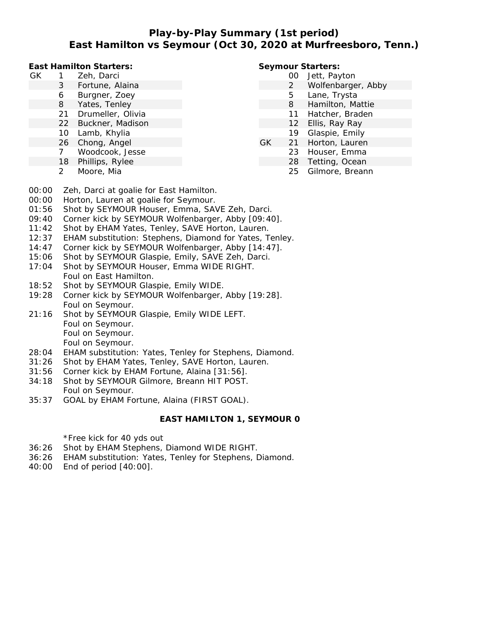## **Play-by-Play Summary (1st period) East Hamilton vs Seymour (Oct 30, 2020 at Murfreesboro, Tenn.)**

**East Hamilton Starters:**

- GK 1 Zeh, Darci
	- 3 Fortune, Alaina
	- 6 Burgner, Zoey
	- 8 Yates, Tenley
	- 21 Drumeller, Olivia
	- 22 Buckner, Madison
	- 10 Lamb, Khylia
	- 26 Chong, Angel
	- 7 Woodcook, Jesse
	- 18 Phillips, Rylee
	- 2 Moore, Mia

#### **Seymour Starters:**

- 00 Jett, Payton
- 2 Wolfenbarger, Abby
- 5 Lane, Trysta
- 8 Hamilton, Mattie
- 11 Hatcher, Braden
- 12 Ellis, Ray Ray
- 19 Glaspie, Emily
- GK 21 Horton, Lauren
	- 23 Houser, Emma
		- 28 Tetting, Ocean
			- 25 Gilmore, Breann

- 00:00 Zeh, Darci at goalie for East Hamilton.
- 00:00 Horton, Lauren at goalie for Seymour.
- 01:56 Shot by SEYMOUR Houser, Emma, SAVE Zeh, Darci.
- 09:40 Corner kick by SEYMOUR Wolfenbarger, Abby [09:40].
- 11:42 Shot by EHAM Yates, Tenley, SAVE Horton, Lauren.
- 12:37 EHAM substitution: Stephens, Diamond for Yates, Tenley.
- 14:47 Corner kick by SEYMOUR Wolfenbarger, Abby [14:47].
- 15:06 Shot by SEYMOUR Glaspie, Emily, SAVE Zeh, Darci.
- 17:04 Shot by SEYMOUR Houser, Emma WIDE RIGHT. Foul on East Hamilton.
- 18:52 Shot by SEYMOUR Glaspie, Emily WIDE.
- 19:28 Corner kick by SEYMOUR Wolfenbarger, Abby [19:28]. Foul on Seymour.
- 21:16 Shot by SEYMOUR Glaspie, Emily WIDE LEFT. Foul on Seymour. Foul on Seymour. Foul on Seymour.
- 28:04 EHAM substitution: Yates, Tenley for Stephens, Diamond.
- 31:26 Shot by EHAM Yates, Tenley, SAVE Horton, Lauren.
- 31:56 Corner kick by EHAM Fortune, Alaina [31:56].
- 34:18 Shot by SEYMOUR Gilmore, Breann HIT POST. Foul on Seymour.
- 35:37 GOAL by EHAM Fortune, Alaina (FIRST GOAL).

#### **EAST HAMILTON 1, SEYMOUR 0**

\*Free kick for 40 yds out

- 36:26 Shot by EHAM Stephens, Diamond WIDE RIGHT.
- 36:26 EHAM substitution: Yates, Tenley for Stephens, Diamond.
- 40:00 End of period [40:00].